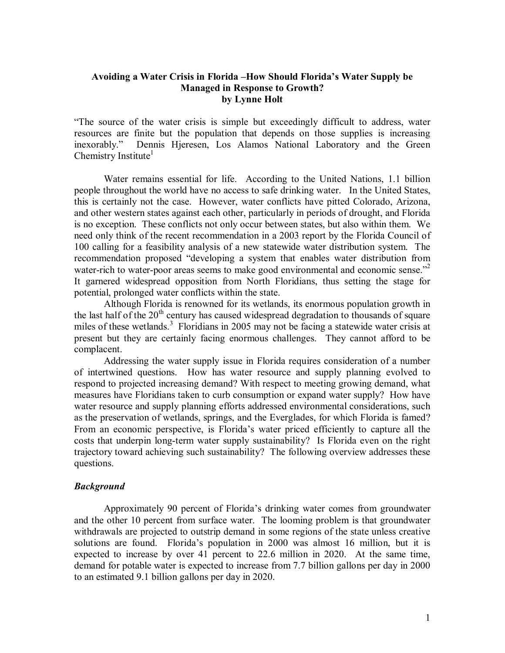# **Avoiding a Water Crisis in Florida –How Should Florida's Water Supply be Managed in Response to Growth? by Lynne Holt**

"The source of the water crisis is simple but exceedingly difficult to address, water resources are finite but the population that depends on those supplies is increasing inexorably." Dennis Hjeresen, Los Alamos National Laboratory and the Green Chemistry Institute<sup>1</sup>

Water remains essential for life. According to the United Nations, 1.1 billion people throughout the world have no access to safe drinking water. In the United States, this is certainly not the case. However, water conflicts have pitted Colorado, Arizona, and other western states against each other, particularly in periods of drought, and Florida is no exception. These conflicts not only occur between states, but also within them. We need only think of the recent recommendation in a 2003 report by the Florida Council of 100 calling for a feasibility analysis of a new statewide water distribution system. The recommendation proposed "developing a system that enables water distribution from water-rich to water-poor areas seems to make good environmental and economic sense."<sup>2</sup> It garnered widespread opposition from North Floridians, thus setting the stage for potential, prolonged water conflicts within the state.

Although Florida is renowned for its wetlands, its enormous population growth in the last half of the  $20<sup>th</sup>$  century has caused widespread degradation to thousands of square miles of these wetlands.<sup>3</sup> Floridians in 2005 may not be facing a statewide water crisis at present but they are certainly facing enormous challenges. They cannot afford to be complacent.

Addressing the water supply issue in Florida requires consideration of a number of intertwined questions. How has water resource and supply planning evolved to respond to projected increasing demand? With respect to meeting growing demand, what measures have Floridians taken to curb consumption or expand water supply? How have water resource and supply planning efforts addressed environmental considerations, such as the preservation of wetlands, springs, and the Everglades, for which Florida is famed? From an economic perspective, is Florida's water priced efficiently to capture all the costs that underpin long-term water supply sustainability? Is Florida even on the right trajectory toward achieving such sustainability? The following overview addresses these questions.

#### *Background*

Approximately 90 percent of Florida's drinking water comes from groundwater and the other 10 percent from surface water. The looming problem is that groundwater withdrawals are projected to outstrip demand in some regions of the state unless creative solutions are found. Florida's population in 2000 was almost 16 million, but it is expected to increase by over 41 percent to 22.6 million in 2020. At the same time, demand for potable water is expected to increase from 7.7 billion gallons per day in 2000 to an estimated 9.1 billion gallons per day in 2020.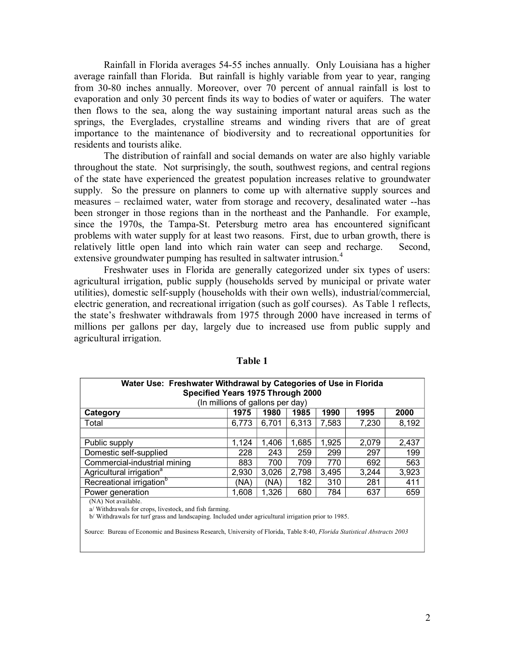Rainfall in Florida averages 5455 inches annually. Only Louisiana has a higher average rainfall than Florida. But rainfall is highly variable from year to year, ranging from 30-80 inches annually. Moreover, over 70 percent of annual rainfall is lost to evaporation and only 30 percent finds its way to bodies of water or aquifers. The water then flows to the sea, along the way sustaining important natural areas such as the springs, the Everglades, crystalline streams and winding rivers that are of great importance to the maintenance of biodiversity and to recreational opportunities for residents and tourists alike.

The distribution of rainfall and social demands on water are also highly variable throughout the state. Not surprisingly, the south, southwest regions, and central regions of the state have experienced the greatest population increases relative to groundwater supply. So the pressure on planners to come up with alternative supply sources and measures – reclaimed water, water from storage and recovery, desalinated water --has been stronger in those regions than in the northeast and the Panhandle. For example, since the 1970s, the Tampa-St. Petersburg metro area has encountered significant problems with water supply for at least two reasons. First, due to urban growth, there is relatively little open land into which rain water can seep and recharge. Second, extensive groundwater pumping has resulted in saltwater intrusion.<sup>4</sup>

Freshwater uses in Florida are generally categorized under six types of users: agricultural irrigation, public supply (households served by municipal or private water utilities), domestic selfsupply (households with their own wells), industrial/commercial, electric generation, and recreational irrigation (such as golf courses). As Table 1 reflects, the state's freshwater withdrawals from 1975 through 2000 have increased in terms of millions per gallons per day, largely due to increased use from public supply and agricultural irrigation.

| Water Use: Freshwater Withdrawal by Categories of Use in Florida<br>Specified Years 1975 Through 2000<br>(In millions of gallons per day) |       |       |       |       |       |       |
|-------------------------------------------------------------------------------------------------------------------------------------------|-------|-------|-------|-------|-------|-------|
| Category                                                                                                                                  | 1975  | 1980  | 1985  | 1990  | 1995  | 2000  |
| Total                                                                                                                                     | 6.773 | 6,701 | 6,313 | 7,583 | 7,230 | 8,192 |
|                                                                                                                                           |       |       |       |       |       |       |
| Public supply                                                                                                                             | 1,124 | 1,406 | 1,685 | 1,925 | 2,079 | 2,437 |
| Domestic self-supplied                                                                                                                    | 228   | 243   | 259   | 299   | 297   | 199   |
| Commercial-industrial mining                                                                                                              | 883   | 700   | 709   | 770   | 692   | 563   |
| Agricultural irrigation <sup>a</sup>                                                                                                      | 2,930 | 3,026 | 2,798 | 3,495 | 3,244 | 3,923 |
| Recreational irrigation <sup>b</sup>                                                                                                      | (NA)  | (NA)  | 182   | 310   | 281   | 411   |
| Power generation                                                                                                                          | 1,608 | 1,326 | 680   | 784   | 637   | 659   |
|                                                                                                                                           |       |       |       |       |       |       |

**Table 1** 

(NA) Not available.

a/ Withdrawals for crops, livestock, and fish farming.

b/ Withdrawals for turf grass and landscaping. Included under agricultural irrigation prior to 1985.

Source: Bureau of Economic and Business Research, University of Florida, Table 8:40, *Florida Statistical Abstracts 2003*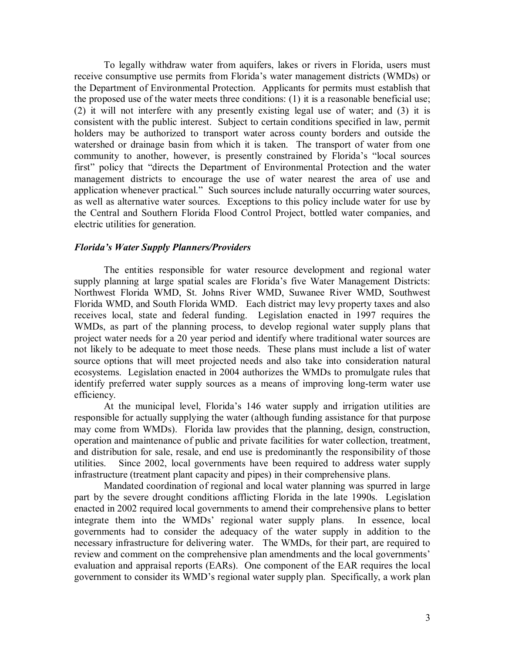To legally withdraw water from aquifers, lakes or rivers in Florida, users must receive consumptive use permits from Florida's water management districts (WMDs) or the Department of Environmental Protection. Applicants for permits must establish that the proposed use of the water meets three conditions: (1) it is a reasonable beneficial use; (2) it will not interfere with any presently existing legal use of water; and (3) it is consistent with the public interest. Subject to certain conditions specified in law, permit holders may be authorized to transport water across county borders and outside the watershed or drainage basin from which it is taken. The transport of water from one community to another, however, is presently constrained by Florida's "local sources first" policy that "directs the Department of Environmental Protection and the water management districts to encourage the use of water nearest the area of use and application whenever practical." Such sources include naturally occurring water sources, as well as alternative water sources. Exceptions to this policy include water for use by the Central and Southern Florida Flood Control Project, bottled water companies, and electric utilities for generation.

#### *Florida's Water Supply Planners/Providers*

The entities responsible for water resource development and regional water supply planning at large spatial scales are Florida's five Water Management Districts: Northwest Florida WMD, St. Johns River WMD, Suwanee River WMD, Southwest Florida WMD, and South Florida WMD. Each district may levy property taxes and also receives local, state and federal funding. Legislation enacted in 1997 requires the WMDs, as part of the planning process, to develop regional water supply plans that project water needs for a 20 year period and identify where traditional water sources are not likely to be adequate to meet those needs. These plans must include a list of water source options that will meet projected needs and also take into consideration natural ecosystems. Legislation enacted in 2004 authorizes the WMDs to promulgate rules that identify preferred water supply sources as a means of improving long-term water use efficiency.

At the municipal level, Florida's 146 water supply and irrigation utilities are responsible for actually supplying the water (although funding assistance for that purpose may come from WMDs). Florida law provides that the planning, design, construction, operation and maintenance of public and private facilities for water collection, treatment, and distribution for sale, resale, and end use is predominantly the responsibility of those utilities. Since 2002, local governments have been required to address water supply infrastructure (treatment plant capacity and pipes) in their comprehensive plans.

Mandated coordination of regional and local water planning was spurred in large part by the severe drought conditions afflicting Florida in the late 1990s. Legislation enacted in 2002 required local governments to amend their comprehensive plans to better integrate them into the WMDs' regional water supply plans. In essence, local governments had to consider the adequacy of the water supply in addition to the necessary infrastructure for delivering water. The WMDs, for their part, are required to review and comment on the comprehensive plan amendments and the local governments' evaluation and appraisal reports (EARs). One component of the EAR requires the local government to consider its WMD's regional water supply plan. Specifically, a work plan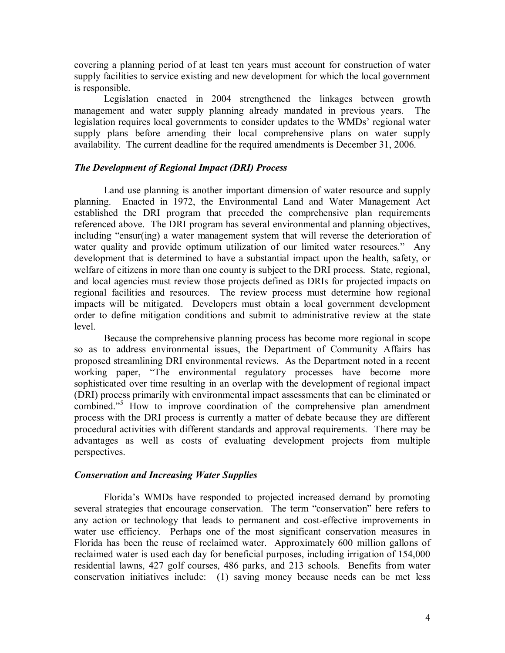covering a planning period of at least ten years must account for construction of water supply facilities to service existing and new development for which the local government is responsible.

Legislation enacted in 2004 strengthened the linkages between growth management and water supply planning already mandated in previous years. The legislation requires local governments to consider updates to the WMDs' regional water supply plans before amending their local comprehensive plans on water supply availability. The current deadline for the required amendments is December 31, 2006.

## *The Development of Regional Impact (DRI) Process*

Land use planning is another important dimension of water resource and supply planning. Enacted in 1972, the Environmental Land and Water Management Act established the DRI program that preceded the comprehensive plan requirements referenced above. The DRI program has several environmental and planning objectives, including "ensur(ing) a water management system that will reverse the deterioration of water quality and provide optimum utilization of our limited water resources." Any development that is determined to have a substantial impact upon the health, safety, or welfare of citizens in more than one county is subject to the DRI process. State, regional, and local agencies must review those projects defined as DRIs for projected impacts on regional facilities and resources. The review process must determine how regional impacts will be mitigated. Developers must obtain a local government development order to define mitigation conditions and submit to administrative review at the state level.

Because the comprehensive planning process has become more regional in scope so as to address environmental issues, the Department of Community Affairs has proposed streamlining DRI environmental reviews. As the Department noted in a recent working paper, "The environmental regulatory processes have become more sophisticated over time resulting in an overlap with the development of regional impact (DRI) process primarily with environmental impact assessments that can be eliminated or combined."<sup>5</sup> How to improve coordination of the comprehensive plan amendment process with the DRI process is currently a matter of debate because they are different procedural activities with different standards and approval requirements. There may be advantages as well as costs of evaluating development projects from multiple perspectives.

# *Conservation and Increasing Water Supplies*

Florida's WMDs have responded to projected increased demand by promoting several strategies that encourage conservation. The term "conservation" here refers to any action or technology that leads to permanent and cost-effective improvements in water use efficiency. Perhaps one of the most significant conservation measures in Florida has been the reuse of reclaimed water. Approximately 600 million gallons of reclaimed water is used each day for beneficial purposes, including irrigation of 154,000 residential lawns, 427 golf courses, 486 parks, and 213 schools. Benefits from water conservation initiatives include: (1) saving money because needs can be met less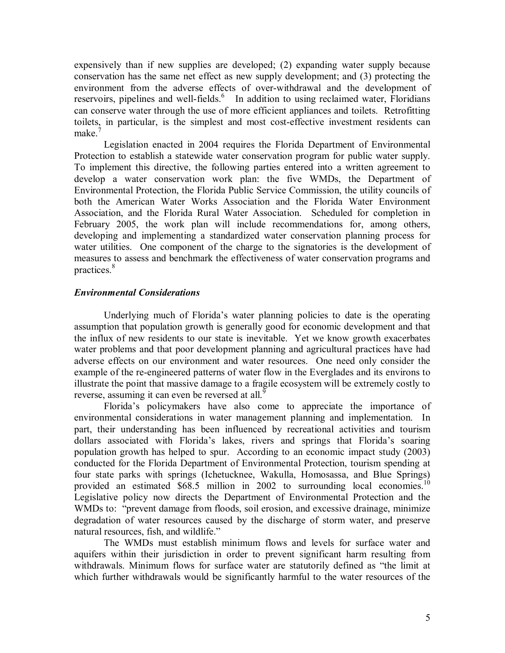expensively than if new supplies are developed; (2) expanding water supply because conservation has the same net effect as new supply development; and (3) protecting the environment from the adverse effects of over-withdrawal and the development of reservoirs, pipelines and well-fields. $6\,$  In addition to using reclaimed water, Floridians can conserve water through the use of more efficient appliances and toilets. Retrofitting toilets, in particular, is the simplest and most cost-effective investment residents can make<sup>7</sup>

Legislation enacted in 2004 requires the Florida Department of Environmental Protection to establish a statewide water conservation program for public water supply. To implement this directive, the following parties entered into a written agreement to develop a water conservation work plan: the five WMDs, the Department of Environmental Protection, the Florida Public Service Commission, the utility councils of both the American Water Works Association and the Florida Water Environment Association, and the Florida Rural Water Association. Scheduled for completion in February 2005, the work plan will include recommendations for, among others, developing and implementing a standardized water conservation planning process for water utilities. One component of the charge to the signatories is the development of measures to assess and benchmark the effectiveness of water conservation programs and practices.<sup>8</sup>

# *Environmental Considerations*

Underlying much of Florida's water planning policies to date is the operating assumption that population growth is generally good for economic development and that the influx of new residents to our state is inevitable. Yet we know growth exacerbates water problems and that poor development planning and agricultural practices have had adverse effects on our environment and water resources. One need only consider the example of the re-engineered patterns of water flow in the Everglades and its environs to illustrate the point that massive damage to a fragile ecosystem will be extremely costly to reverse, assuming it can even be reversed at all.<sup>9</sup>

Florida's policymakers have also come to appreciate the importance of environmental considerations in water management planning and implementation. In part, their understanding has been influenced by recreational activities and tourism dollars associated with Florida's lakes, rivers and springs that Florida's soaring population growth has helped to spur. According to an economic impact study (2003) conducted for the Florida Department of Environmental Protection, tourism spending at four state parks with springs (Ichetucknee, Wakulla, Homosassa, and Blue Springs) provided an estimated \$68.5 million in 2002 to surrounding local economies.<sup>10</sup> Legislative policy now directs the Department of Environmental Protection and the WMDs to: "prevent damage from floods, soil erosion, and excessive drainage, minimize degradation of water resources caused by the discharge of storm water, and preserve natural resources, fish, and wildlife."

The WMDs must establish minimum flows and levels for surface water and aquifers within their jurisdiction in order to prevent significant harm resulting from withdrawals. Minimum flows for surface water are statutorily defined as "the limit at which further withdrawals would be significantly harmful to the water resources of the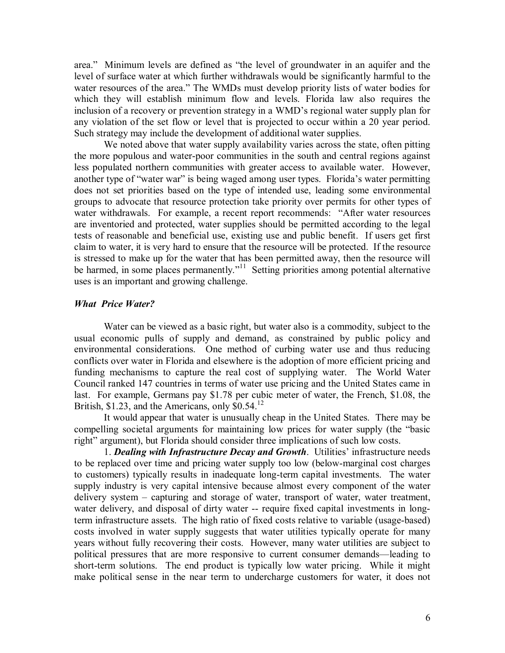area." Minimum levels are defined as "the level of groundwater in an aquifer and the level of surface water at which further withdrawals would be significantly harmful to the water resources of the area." The WMDs must develop priority lists of water bodies for which they will establish minimum flow and levels. Florida law also requires the inclusion of a recovery or prevention strategy in a WMD's regional water supply plan for any violation of the set flow or level that is projected to occur within a 20 year period. Such strategy may include the development of additional water supplies.

We noted above that water supply availability varies across the state, often pitting the more populous and water-poor communities in the south and central regions against less populated northern communities with greater access to available water. However, another type of "water war" is being waged among user types. Florida's water permitting does not set priorities based on the type of intended use, leading some environmental groups to advocate that resource protection take priority over permits for other types of water withdrawals. For example, a recent report recommends: "After water resources are inventoried and protected, water supplies should be permitted according to the legal tests of reasonable and beneficial use, existing use and public benefit. If users get first claim to water, it is very hard to ensure that the resource will be protected. If the resource is stressed to make up for the water that has been permitted away, then the resource will be harmed, in some places permanently."<sup>11</sup> Setting priorities among potential alternative uses is an important and growing challenge.

## *What Price Water?*

Water can be viewed as a basic right, but water also is a commodity, subject to the usual economic pulls of supply and demand, as constrained by public policy and environmental considerations. One method of curbing water use and thus reducing conflicts over water in Florida and elsewhere is the adoption of more efficient pricing and funding mechanisms to capture the real cost of supplying water. The World Water Council ranked 147 countries in terms of water use pricing and the United States came in last. For example, Germans pay \$1.78 per cubic meter of water, the French, \$1.08, the British, \$1.23, and the Americans, only \$0.54.<sup>12</sup>

It would appear that water is unusually cheap in the United States. There may be compelling societal arguments for maintaining low prices for water supply (the "basic right" argument), but Florida should consider three implications of such low costs.

1. *Dealing with Infrastructure Decay and Growth*. Utilities' infrastructure needs to be replaced over time and pricing water supply too low (below-marginal cost charges to customers) typically results in inadequate long-term capital investments. The water supply industry is very capital intensive because almost every component of the water delivery system – capturing and storage of water, transport of water, water treatment, water delivery, and disposal of dirty water -- require fixed capital investments in longterm infrastructure assets. The high ratio of fixed costs relative to variable (usage-based) costs involved in water supply suggests that water utilities typically operate for many years without fully recovering their costs. However, many water utilities are subject to political pressures that are more responsive to current consumer demands—leading to short-term solutions. The end product is typically low water pricing. While it might make political sense in the near term to undercharge customers for water, it does not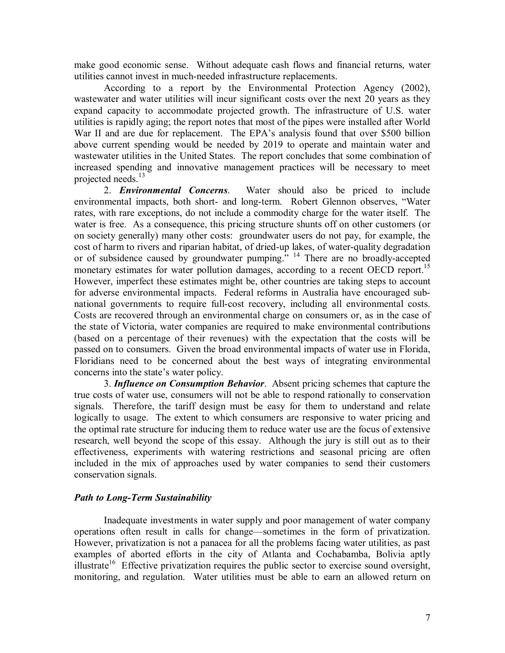make good economic sense. Without adequate cash flows and financial returns, water utilities cannot invest in much-needed infrastructure replacements.

According to a report by the Environmental Protection Agency (2002), wastewater and water utilities will incur significant costs over the next 20 years as they expand capacity to accommodate projected growth. The infrastructure of U.S. water utilities is rapidly aging; the report notes that most of the pipes were installed after World War II and are due for replacement. The EPA's analysis found that over \$500 billion above current spending would be needed by 2019 to operate and maintain water and wastewater utilities in the United States. The report concludes that some combination of increased spending and innovative management practices will be necessary to meet projected needs.<sup>13</sup>

2. *Environmental Concerns*. Water should also be priced to include environmental impacts, both short- and long-term. Robert Glennon observes, "Water rates, with rare exceptions, do not include a commodity charge for the water itself. The water is free. As a consequence, this pricing structure shunts off on other customers (or on society generally) many other costs: groundwater users do not pay, for example, the cost of harm to rivers and riparian habitat, of dried-up lakes, of water-quality degradation or of subsidence caused by groundwater pumping." <sup>14</sup> There are no broadly-accepted monetary estimates for water pollution damages, according to a recent OECD report.<sup>15</sup> However, imperfect these estimates might be, other countries are taking steps to account for adverse environmental impacts. Federal reforms in Australia have encouraged sub national governments to require full-cost recovery, including all environmental costs. Costs are recovered through an environmental charge on consumers or, as in the case of the state of Victoria, water companies are required to make environmental contributions (based on a percentage of their revenues) with the expectation that the costs will be passed on to consumers. Given the broad environmental impacts of water use in Florida, Floridians need to be concerned about the best ways of integrating environmental concerns into the state's water policy.

3. *Influence on Consumption Behavior*. Absent pricing schemes that capture the true costs of water use, consumers will not be able to respond rationally to conservation signals. Therefore, the tariff design must be easy for them to understand and relate logically to usage. The extent to which consumers are responsive to water pricing and the optimal rate structure for inducing them to reduce water use are the focus of extensive research, well beyond the scope of this essay. Although the jury is still out as to their effectiveness, experiments with watering restrictions and seasonal pricing are often included in the mix of approaches used by water companies to send their customers conservation signals.

# *Path to Long-Term Sustainability*

Inadequate investments in water supply and poor management of water company operations often result in calls for change—sometimes in the form of privatization. However, privatization is not a panacea for all the problems facing water utilities, as past examples of aborted efforts in the city of Atlanta and Cochabamba, Bolivia aptly illustrate<sup>16</sup> Effective privatization requires the public sector to exercise sound oversight, monitoring, and regulation. Water utilities must be able to earn an allowed return on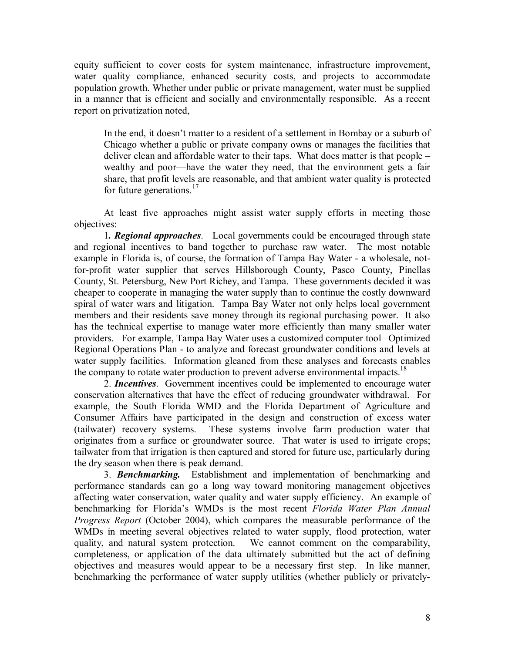equity sufficient to cover costs for system maintenance, infrastructure improvement, water quality compliance, enhanced security costs, and projects to accommodate population growth. Whether under public or private management, water must be supplied in a manner that is efficient and socially and environmentally responsible. As a recent report on privatization noted,

In the end, it doesn't matter to a resident of a settlement in Bombay or a suburb of Chicago whether a public or private company owns or manages the facilities that deliver clean and affordable water to their taps. What does matter is that people – wealthy and poor—have the water they need, that the environment gets a fair share, that profit levels are reasonable, and that ambient water quality is protected for future generations.<sup>17</sup>

At least five approaches might assist water supply efforts in meeting those objectives:

1*. Regional approaches*. Local governments could be encouraged through state and regional incentives to band together to purchase raw water. The most notable example in Florida is, of course, the formation of Tampa Bay Water - a wholesale, notfor-profit water supplier that serves Hillsborough County, Pasco County, Pinellas County, St. Petersburg, New Port Richey, and Tampa. These governments decided it was cheaper to cooperate in managing the water supply than to continue the costly downward spiral of water wars and litigation. Tampa Bay Water not only helps local government members and their residents save money through its regional purchasing power. It also has the technical expertise to manage water more efficiently than many smaller water providers. For example, Tampa Bay Water uses a customized computer tool –Optimized Regional Operations Plan - to analyze and forecast groundwater conditions and levels at water supply facilities. Information gleaned from these analyses and forecasts enables the company to rotate water production to prevent adverse environmental impacts.<sup>18</sup>

2. *Incentives*. Government incentives could be implemented to encourage water conservation alternatives that have the effect of reducing groundwater withdrawal. For example, the South Florida WMD and the Florida Department of Agriculture and Consumer Affairs have participated in the design and construction of excess water (tailwater) recovery systems. These systems involve farm production water that originates from a surface or groundwater source. That water is used to irrigate crops; tailwater from that irrigation is then captured and stored for future use, particularly during the dry season when there is peak demand.

3. *Benchmarking.* Establishment and implementation of benchmarking and performance standards can go a long way toward monitoring management objectives affecting water conservation, water quality and water supply efficiency. An example of benchmarking for Florida's WMDs is the most recent *Florida Water Plan Annual Progress Report* (October 2004), which compares the measurable performance of the WMDs in meeting several objectives related to water supply, flood protection, water quality, and natural system protection. We cannot comment on the comparability, completeness, or application of the data ultimately submitted but the act of defining objectives and measures would appear to be a necessary first step. In like manner, benchmarking the performance of water supply utilities (whether publicly or privately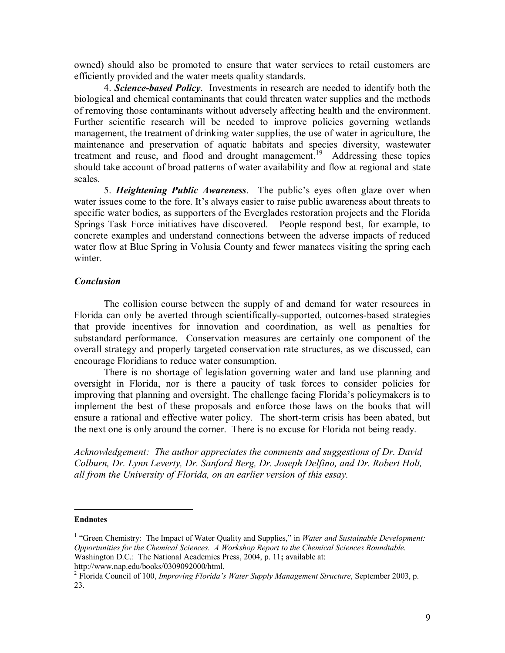owned) should also be promoted to ensure that water services to retail customers are efficiently provided and the water meets quality standards.

4. **Science-based Policy**. Investments in research are needed to identify both the biological and chemical contaminants that could threaten water supplies and the methods of removing those contaminants without adversely affecting health and the environment. Further scientific research will be needed to improve policies governing wetlands management, the treatment of drinking water supplies, the use of water in agriculture, the maintenance and preservation of aquatic habitats and species diversity, wastewater treatment and reuse, and flood and drought management.<sup>19</sup> Addressing these topics should take account of broad patterns of water availability and flow at regional and state scales.

5. *Heightening Public Awareness*. The public's eyes often glaze over when water issues come to the fore. It's always easier to raise public awareness about threats to specific water bodies, as supporters of the Everglades restoration projects and the Florida Springs Task Force initiatives have discovered. People respond best, for example, to concrete examples and understand connections between the adverse impacts of reduced water flow at Blue Spring in Volusia County and fewer manatees visiting the spring each winter.

#### *Conclusion*

The collision course between the supply of and demand for water resources in Florida can only be averted through scientifically-supported, outcomes-based strategies that provide incentives for innovation and coordination, as well as penalties for substandard performance. Conservation measures are certainly one component of the overall strategy and properly targeted conservation rate structures, as we discussed, can encourage Floridians to reduce water consumption.

There is no shortage of legislation governing water and land use planning and oversight in Florida, nor is there a paucity of task forces to consider policies for improving that planning and oversight. The challenge facing Florida's policymakers is to implement the best of these proposals and enforce those laws on the books that will ensure a rational and effective water policy. The short-term crisis has been abated, but the next one is only around the corner. There is no excuse for Florida not being ready.

*Acknowledgement: The author appreciates the comments and suggestions of Dr. David Colburn, Dr. Lynn Leverty, Dr. Sanford Berg, Dr. Joseph Delfino, and Dr. Robert Holt, all from the University of Florida, on an earlier version of this essay.*

#### **Endnotes**

<sup>&</sup>lt;sup>1</sup> "Green Chemistry: The Impact of Water Quality and Supplies," in *Water and Sustainable Development: Opportunities for the Chemical Sciences. A Workshop Report to the Chemical Sciences Roundtable.* Washington D.C.: The National Academies Press, 2004, p. 11; available at: http://www.nap.edu/books/0309092000/html.

<sup>&</sup>lt;sup>2</sup> Florida Council of 100, *Improving Florida's Water Supply Management Structure*, September 2003, p. 23.